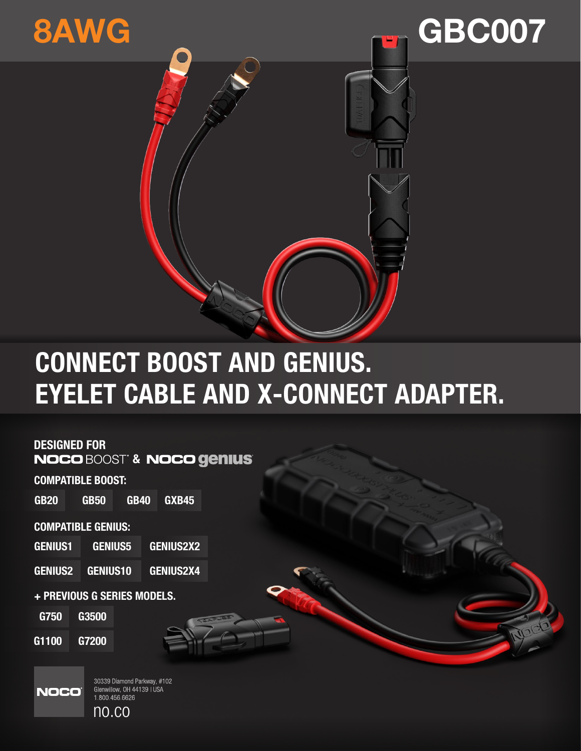

# **GBC007**

## **CONNECT BOOST AND GENIUS. EYELET CABLE AND X-CONNECT ADAPTER.**

### **DESIGNED FOR**

**NOCO BOOST<sup>®</sup> & NOCO genius**®

**COMPATIBLE BOOST:** 

**GB20 GB50 GB40** GXB45

#### **COMPATIBLE GENIUS:**

| <b>GENIUS1</b> | <b>GENIUS5</b> | <b>GENIUS2X2</b> |
|----------------|----------------|------------------|
| ________       | ----------     | --------------   |

**GENIUS10 GENIUS2X4 GENIUS2** 

+ PREVIOUS G SERIES MODELS.

G750 G3500

G1100 G7200



30339 Diamond Parkway, #102 Glenwillow, OH 44139 | USA<br>1.800.456.6626  $no.co$